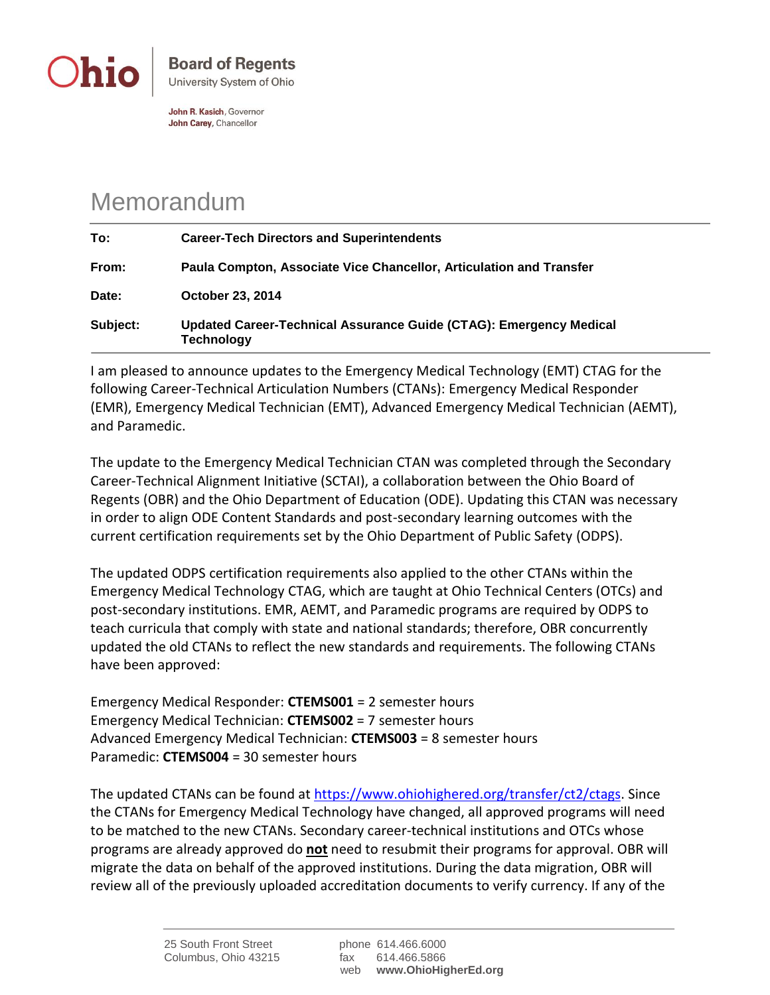

John R. Kasich, Governor John Carey, Chancellor

## Memorandum

| To:      | <b>Career-Tech Directors and Superintendents</b>                                        |
|----------|-----------------------------------------------------------------------------------------|
| From:    | Paula Compton, Associate Vice Chancellor, Articulation and Transfer                     |
| Date:    | <b>October 23, 2014</b>                                                                 |
| Subject: | Updated Career-Technical Assurance Guide (CTAG): Emergency Medical<br><b>Technology</b> |

I am pleased to announce updates to the Emergency Medical Technology (EMT) CTAG for the following Career-Technical Articulation Numbers (CTANs): Emergency Medical Responder (EMR), Emergency Medical Technician (EMT), Advanced Emergency Medical Technician (AEMT), and Paramedic.

The update to the Emergency Medical Technician CTAN was completed through the Secondary Career-Technical Alignment Initiative (SCTAI), a collaboration between the Ohio Board of Regents (OBR) and the Ohio Department of Education (ODE). Updating this CTAN was necessary in order to align ODE Content Standards and post-secondary learning outcomes with the current certification requirements set by the Ohio Department of Public Safety (ODPS).

The updated ODPS certification requirements also applied to the other CTANs within the Emergency Medical Technology CTAG, which are taught at Ohio Technical Centers (OTCs) and post-secondary institutions. EMR, AEMT, and Paramedic programs are required by ODPS to teach curricula that comply with state and national standards; therefore, OBR concurrently updated the old CTANs to reflect the new standards and requirements. The following CTANs have been approved:

Emergency Medical Responder: **CTEMS001** = 2 semester hours Emergency Medical Technician: **CTEMS002** = 7 semester hours Advanced Emergency Medical Technician: **CTEMS003** = 8 semester hours Paramedic: **CTEMS004** = 30 semester hours

The updated CTANs can be found at [https://www.ohiohighered.org/transfer/ct2/ctags.](https://www.ohiohighered.org/transfer/ct2/ctags) Since the CTANs for Emergency Medical Technology have changed, all approved programs will need to be matched to the new CTANs. Secondary career-technical institutions and OTCs whose programs are already approved do **not** need to resubmit their programs for approval. OBR will migrate the data on behalf of the approved institutions. During the data migration, OBR will review all of the previously uploaded accreditation documents to verify currency. If any of the